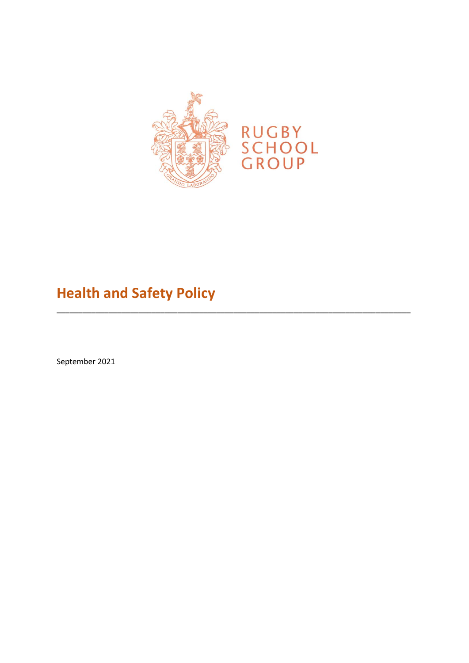

# **Health and Safety Policy**

September 2021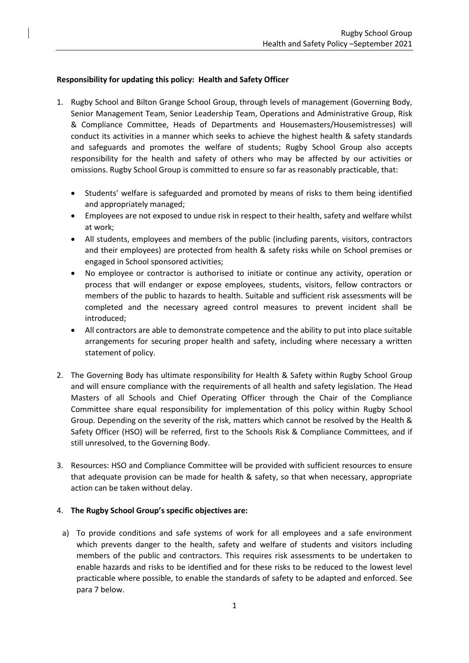## **Responsibility for updating this policy: Health and Safety Officer**

- 1. Rugby School and Bilton Grange School Group, through levels of management (Governing Body, Senior Management Team, Senior Leadership Team, Operations and Administrative Group, Risk & Compliance Committee, Heads of Departments and Housemasters/Housemistresses) will conduct its activities in a manner which seeks to achieve the highest health & safety standards and safeguards and promotes the welfare of students; Rugby School Group also accepts responsibility for the health and safety of others who may be affected by our activities or omissions. Rugby School Group is committed to ensure so far as reasonably practicable, that:
	- Students' welfare is safeguarded and promoted by means of risks to them being identified and appropriately managed;
	- Employees are not exposed to undue risk in respect to their health, safety and welfare whilst at work;
	- All students, employees and members of the public (including parents, visitors, contractors and their employees) are protected from health & safety risks while on School premises or engaged in School sponsored activities;
	- No employee or contractor is authorised to initiate or continue any activity, operation or process that will endanger or expose employees, students, visitors, fellow contractors or members of the public to hazards to health. Suitable and sufficient risk assessments will be completed and the necessary agreed control measures to prevent incident shall be introduced;
	- All contractors are able to demonstrate competence and the ability to put into place suitable arrangements for securing proper health and safety, including where necessary a written statement of policy.
- 2. The Governing Body has ultimate responsibility for Health & Safety within Rugby School Group and will ensure compliance with the requirements of all health and safety legislation. The Head Masters of all Schools and Chief Operating Officer through the Chair of the Compliance Committee share equal responsibility for implementation of this policy within Rugby School Group. Depending on the severity of the risk, matters which cannot be resolved by the Health & Safety Officer (HSO) will be referred, first to the Schools Risk & Compliance Committees, and if still unresolved, to the Governing Body.
- 3. Resources: HSO and Compliance Committee will be provided with sufficient resources to ensure that adequate provision can be made for health & safety, so that when necessary, appropriate action can be taken without delay.

## 4. **The Rugby School Group's specific objectives are:**

a) To provide conditions and safe systems of work for all employees and a safe environment which prevents danger to the health, safety and welfare of students and visitors including members of the public and contractors. This requires risk assessments to be undertaken to enable hazards and risks to be identified and for these risks to be reduced to the lowest level practicable where possible, to enable the standards of safety to be adapted and enforced. See para 7 below.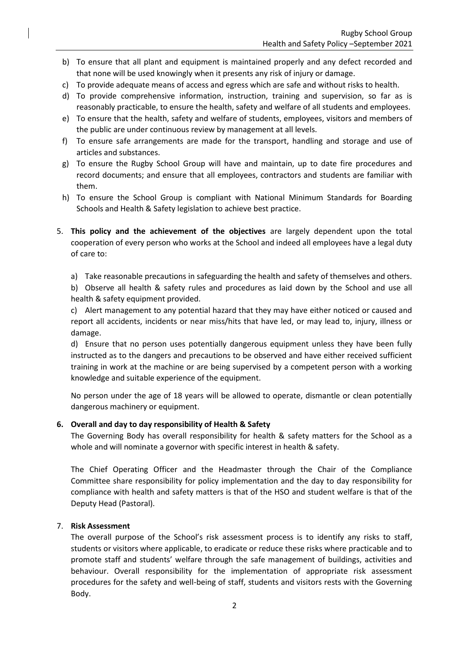- b) To ensure that all plant and equipment is maintained properly and any defect recorded and that none will be used knowingly when it presents any risk of injury or damage.
- c) To provide adequate means of access and egress which are safe and without risks to health.
- d) To provide comprehensive information, instruction, training and supervision, so far as is reasonably practicable, to ensure the health, safety and welfare of all students and employees.
- e) To ensure that the health, safety and welfare of students, employees, visitors and members of the public are under continuous review by management at all levels.
- f) To ensure safe arrangements are made for the transport, handling and storage and use of articles and substances.
- g) To ensure the Rugby School Group will have and maintain, up to date fire procedures and record documents; and ensure that all employees, contractors and students are familiar with them.
- h) To ensure the School Group is compliant with National Minimum Standards for Boarding Schools and Health & Safety legislation to achieve best practice.
- 5. **This policy and the achievement of the objectives** are largely dependent upon the total cooperation of every person who works at the School and indeed all employees have a legal duty of care to:
	- a) Take reasonable precautions in safeguarding the health and safety of themselves and others.

b) Observe all health & safety rules and procedures as laid down by the School and use all health & safety equipment provided.

c) Alert management to any potential hazard that they may have either noticed or caused and report all accidents, incidents or near miss/hits that have led, or may lead to, injury, illness or damage.

d) Ensure that no person uses potentially dangerous equipment unless they have been fully instructed as to the dangers and precautions to be observed and have either received sufficient training in work at the machine or are being supervised by a competent person with a working knowledge and suitable experience of the equipment.

No person under the age of 18 years will be allowed to operate, dismantle or clean potentially dangerous machinery or equipment.

#### **6. Overall and day to day responsibility of Health & Safety**

The Governing Body has overall responsibility for health & safety matters for the School as a whole and will nominate a governor with specific interest in health & safety.

The Chief Operating Officer and the Headmaster through the Chair of the Compliance Committee share responsibility for policy implementation and the day to day responsibility for compliance with health and safety matters is that of the HSO and student welfare is that of the Deputy Head (Pastoral).

#### 7. **Risk Assessment**

The overall purpose of the School's risk assessment process is to identify any risks to staff, students or visitors where applicable, to eradicate or reduce these risks where practicable and to promote staff and students' welfare through the safe management of buildings, activities and behaviour. Overall responsibility for the implementation of appropriate risk assessment procedures for the safety and well-being of staff, students and visitors rests with the Governing Body.